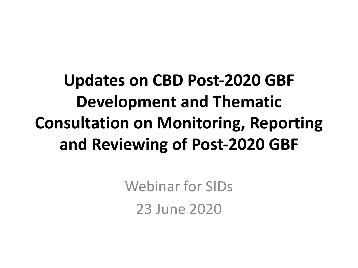#### **Updates on CBD Post-2020 GBF Development and Thematic Consultation on Monitoring, Reporting and Reviewing of Post-2020 GBF**

Webinar for SIDs 23 June 2020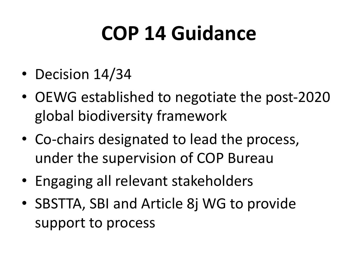# **COP 14 Guidance**

- Decision 14/34
- OEWG established to negotiate the post-2020 global biodiversity framework
- Co-chairs designated to lead the process, under the supervision of COP Bureau
- Engaging all relevant stakeholders
- SBSTTA, SBI and Article 8j WG to provide support to process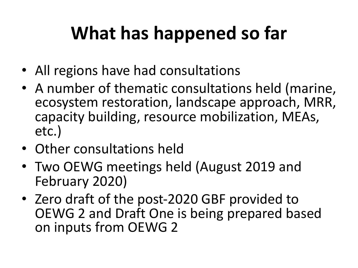# **What has happened so far**

- All regions have had consultations
- A number of thematic consultations held (marine, ecosystem restoration, landscape approach, MRR, capacity building, resource mobilization, MEAs, etc.)
- Other consultations held
- Two OEWG meetings held (August 2019 and February 2020)
- Zero draft of the post-2020 GBF provided to OEWG 2 and Draft One is being prepared based on inputs from OEWG 2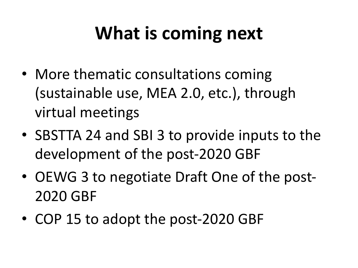## **What is coming next**

- More thematic consultations coming (sustainable use, MEA 2.0, etc.), through virtual meetings
- SBSTTA 24 and SBI 3 to provide inputs to the development of the post-2020 GBF
- OEWG 3 to negotiate Draft One of the post-2020 GBF
- COP 15 to adopt the post-2020 GBF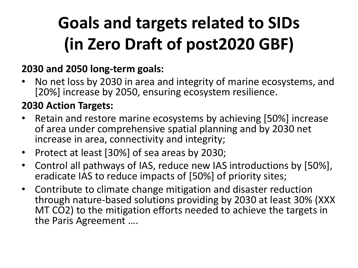### **Goals and targets related to SIDs (in Zero Draft of post2020 GBF)**

#### **2030 and 2050 long-term goals:**

• No net loss by 2030 in area and integrity of marine ecosystems, and [20%] increase by 2050, ensuring ecosystem resilience.

#### **2030 Action Targets:**

- Retain and restore marine ecosystems by achieving [50%] increase of area under comprehensive spatial planning and by 2030 net increase in area, connectivity and integrity;
- Protect at least [30%] of sea areas by 2030;
- Control all pathways of IAS, reduce new IAS introductions by [50%], eradicate IAS to reduce impacts of [50%] of priority sites;
- Contribute to climate change mitigation and disaster reduction through nature-based solutions providing by 2030 at least 30% (XXX MT CO2) to the mitigation efforts needed to achieve the targets in the Paris Agreement ….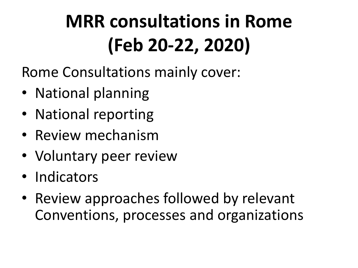# **MRR consultations in Rome (Feb 20-22, 2020)**

Rome Consultations mainly cover:

- National planning
- National reporting
- Review mechanism
- Voluntary peer review
- Indicators
- Review approaches followed by relevant Conventions, processes and organizations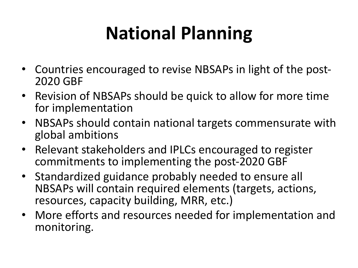# **National Planning**

- Countries encouraged to revise NBSAPs in light of the post- 2020 GBF
- Revision of NBSAPs should be quick to allow for more time for implementation
- NBSAPs should contain national targets commensurate with global ambitions
- Relevant stakeholders and IPLCs encouraged to register commitments to implementing the post-2020 GBF
- Standardized guidance probably needed to ensure all NBSAPs will contain required elements (targets, actions, resources, capacity building, MRR, etc.)
- More efforts and resources needed for implementation and monitoring.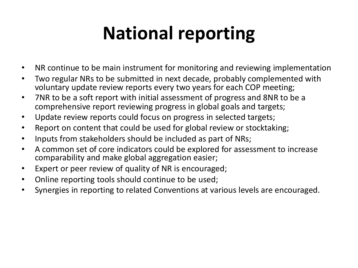## **National reporting**

- NR continue to be main instrument for monitoring and reviewing implementation
- Two regular NRs to be submitted in next decade, probably complemented with voluntary update review reports every two years for each COP meeting;
- 7NR to be a soft report with initial assessment of progress and 8NR to be a comprehensive report reviewing progress in global goals and targets;
- Update review reports could focus on progress in selected targets;
- Report on content that could be used for global review or stocktaking;
- Inputs from stakeholders should be included as part of NRs;
- A common set of core indicators could be explored for assessment to increase comparability and make global aggregation easier;
- Expert or peer review of quality of NR is encouraged;
- Online reporting tools should continue to be used;
- Synergies in reporting to related Conventions at various levels are encouraged.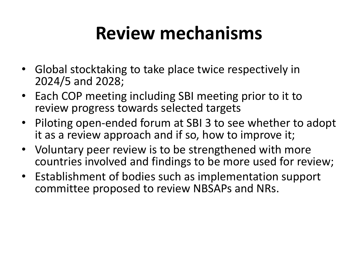### **Review mechanisms**

- Global stocktaking to take place twice respectively in 2024/5 and 2028;
- Each COP meeting including SBI meeting prior to it to review progress towards selected targets
- Piloting open-ended forum at SBI 3 to see whether to adopt it as a review approach and if so, how to improve it;
- Voluntary peer review is to be strengthened with more countries involved and findings to be more used for review;
- Establishment of bodies such as implementation support committee proposed to review NBSAPs and NRs.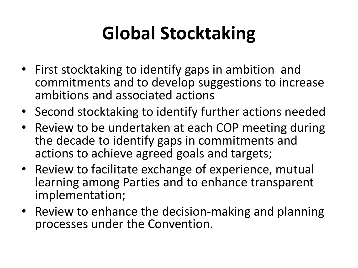# **Global Stocktaking**

- First stocktaking to identify gaps in ambition and commitments and to develop suggestions to increase ambitions and associated actions
- Second stocktaking to identify further actions needed
- Review to be undertaken at each COP meeting during the decade to identify gaps in commitments and actions to achieve agreed goals and targets;
- Review to facilitate exchange of experience, mutual learning among Parties and to enhance transparent implementation;
- Review to enhance the decision-making and planning processes under the Convention.